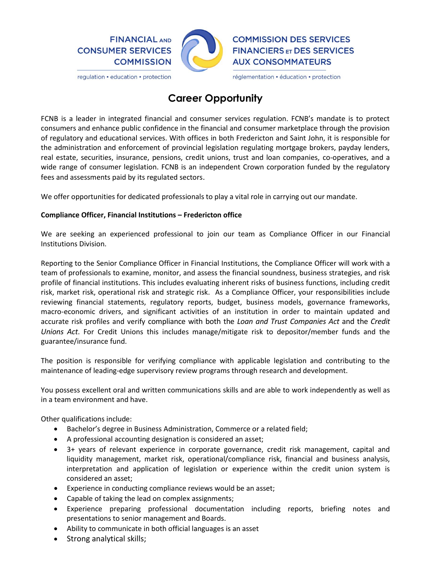

regulation • education • protection



réglementation · éducation · protection

## **Career Opportunity**

FCNB is a leader in integrated financial and consumer services regulation. FCNB's mandate is to protect consumers and enhance public confidence in the financial and consumer marketplace through the provision of regulatory and educational services. With offices in both Fredericton and Saint John, it is responsible for the administration and enforcement of provincial legislation regulating mortgage brokers, payday lenders, real estate, securities, insurance, pensions, credit unions, trust and loan companies, co-operatives, and a wide range of consumer legislation. FCNB is an independent Crown corporation funded by the regulatory fees and assessments paid by its regulated sectors.

We offer opportunities for dedicated professionals to play a vital role in carrying out our mandate.

## **Compliance Officer, Financial Institutions – Fredericton office**

We are seeking an experienced professional to join our team as Compliance Officer in our Financial Institutions Division.

Reporting to the Senior Compliance Officer in Financial Institutions, the Compliance Officer will work with a team of professionals to examine, monitor, and assess the financial soundness, business strategies, and risk profile of financial institutions. This includes evaluating inherent risks of business functions, including credit risk, market risk, operational risk and strategic risk. As a Compliance Officer, your responsibilities include reviewing financial statements, regulatory reports, budget, business models, governance frameworks, macro-economic drivers, and significant activities of an institution in order to maintain updated and accurate risk profiles and verify compliance with both the *Loan and Trust Companies Act* and the *Credit Unions Act*. For Credit Unions this includes manage/mitigate risk to depositor/member funds and the guarantee/insurance fund.

The position is responsible for verifying compliance with applicable legislation and contributing to the maintenance of leading-edge supervisory review programs through research and development.

You possess excellent oral and written communications skills and are able to work independently as well as in a team environment and have.

Other qualifications include:

- Bachelor's degree in Business Administration, Commerce or a related field;
- A professional accounting designation is considered an asset;
- 3+ years of relevant experience in corporate governance, credit risk management, capital and liquidity management, market risk, operational/compliance risk, financial and business analysis, interpretation and application of legislation or experience within the credit union system is considered an asset;
- Experience in conducting compliance reviews would be an asset;
- Capable of taking the lead on complex assignments;
- Experience preparing professional documentation including reports, briefing notes and presentations to senior management and Boards.
- Ability to communicate in both official languages is an asset
- Strong analytical skills;